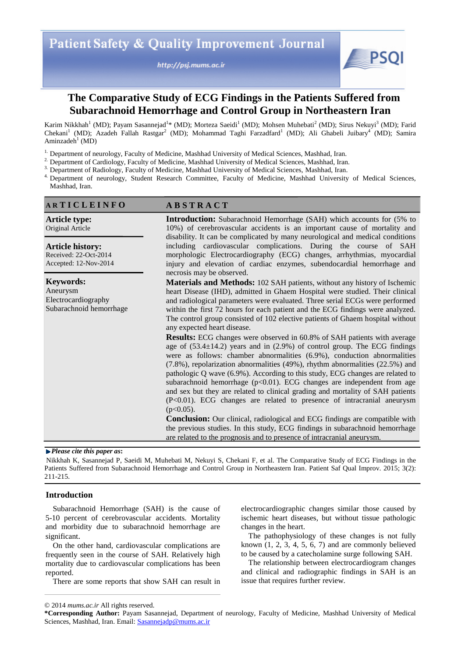http://psj.mums.ac.ir



# **The Comparative Study of ECG Findings in the Patients Suffered from Subarachnoid Hemorrhage and Control Group in Northeastern Iran**

Karim Nikkhah<sup>1</sup> (MD); Payam Sasannejad<sup>1</sup>\* (MD); Morteza Saeidi<sup>1</sup> (MD); Mohsen Muhebati<sup>2</sup> (MD); Sirus Nekuyi<sup>3</sup> (MD); Farid Chekani<sup>1</sup> (MD); Azadeh Fallah Rastgar<sup>2</sup> (MD); Mohammad Taghi Farzadfard<sup>1</sup> (MD); Ali Ghabeli Juibary<sup>4</sup> (MD); Samira Aminzadeh<sup>1</sup> (MD)

- <sup>1.</sup> Department of neurology, Faculty of Medicine, Mashhad University of Medical Sciences, Mashhad, Iran.
- <sup>2.</sup> Department of Cardiology, Faculty of Medicine, Mashhad University of Medical Sciences, Mashhad, Iran.
- <sup>3.</sup> Department of Radiology, Faculty of Medicine, Mashhad University of Medical Sciences, Mashhad, Iran.
- <sup>4.</sup> Department of neurology, Student Research Committee, Faculty of Medicine, Mashhad University of Medical Sciences, Mashhad, Iran.

| ARTICLEINFO                                                                    | <b>ABSTRACT</b>                                                                                                                                                                                                                                                                                                                                                                                                                                                                                                                                                                                                                                                         |
|--------------------------------------------------------------------------------|-------------------------------------------------------------------------------------------------------------------------------------------------------------------------------------------------------------------------------------------------------------------------------------------------------------------------------------------------------------------------------------------------------------------------------------------------------------------------------------------------------------------------------------------------------------------------------------------------------------------------------------------------------------------------|
| <b>Article type:</b><br>Original Article                                       | <b>Introduction:</b> Subarachnoid Hemorrhage (SAH) which accounts for (5% to<br>10%) of cerebrovascular accidents is an important cause of mortality and<br>disability. It can be complicated by many neurological and medical conditions                                                                                                                                                                                                                                                                                                                                                                                                                               |
| <b>Article history:</b><br>Received: 22-Oct-2014<br>Accepted: 12-Nov-2014      | including cardiovascular complications. During the course of SAH<br>morphologic Electrocardiography (ECG) changes, arrhythmias, myocardial<br>injury and elevation of cardiac enzymes, subendocardial hemorrhage and<br>necrosis may be observed.                                                                                                                                                                                                                                                                                                                                                                                                                       |
| <b>Keywords:</b><br>Aneurysm<br>Electrocardiography<br>Subarachnoid hemorrhage | Materials and Methods: 102 SAH patients, without any history of Ischemic<br>heart Disease (IHD), admitted in Ghaem Hospital were studied. Their clinical<br>and radiological parameters were evaluated. Three serial ECGs were performed<br>within the first 72 hours for each patient and the ECG findings were analyzed.<br>The control group consisted of 102 elective patients of Ghaem hospital without<br>any expected heart disease.                                                                                                                                                                                                                             |
|                                                                                | <b>Results:</b> ECG changes were observed in 60.8% of SAH patients with average<br>age of $(53.4\pm14.2)$ years and in $(2.9%)$ of control group. The ECG findings<br>were as follows: chamber abnormalities (6.9%), conduction abnormalities<br>(7.8%), repolarization abnormalities (49%), rhythm abnormalities (22.5%) and<br>pathologic Q wave (6.9%). According to this study, ECG changes are related to<br>subarachnoid hemorrhage $(p<0.01)$ . ECG changes are independent from age<br>and sex but they are related to clinical grading and mortality of SAH patients<br>(P<0.01). ECG changes are related to presence of intracranial aneurysm<br>$(p<0.05)$ . |
|                                                                                | <b>Conclusion:</b> Our clinical, radiological and ECG findings are compatible with<br>the previous studies. In this study, ECG findings in subarachnoid hemorrhage<br>are related to the prognosis and to presence of intracranial aneurysm.                                                                                                                                                                                                                                                                                                                                                                                                                            |

### *Please cite this paper as***:**

Nikkhah K, Sasannejad P, Saeidi M, Muhebati M, Nekuyi S, Chekani F, et al. The Comparative Study of ECG Findings in the Patients Suffered from Subarachnoid Hemorrhage and Control Group in Northeastern Iran. Patient Saf Qual Improv. 2015; 3(2): 211-215.

## **Introduction**

Subarachnoid Hemorrhage (SAH) is the cause of 5-10 percent of cerebrovascular accidents. Mortality and morbidity due to subarachnoid hemorrhage are significant.

On the other hand, cardiovascular complications are frequently seen in the course of SAH. Relatively high mortality due to cardiovascular complications has been reported.

There are some reports that show SAH can result in

electrocardiographic changes similar those caused by ischemic heart diseases, but without tissue pathologic changes in the heart.

The pathophysiology of these changes is not fully known  $(1, 2, 3, 4, 5, 6, 7)$  and are commonly believed to be caused by a catecholamine surge following SAH.

The relationship between electrocardiogram changes and clinical and radiographic findings in SAH is an issue that requires further review.

<sup>© 2014</sup> *mums.ac.ir* All rights reserved.

**<sup>\*</sup>Corresponding Author:** Payam Sasannejad, Department of neurology, Faculty of Medicine, Mashhad University of Medical Sciences, Mashhad, Iran. Email: Sasannejadp@mums.ac.ir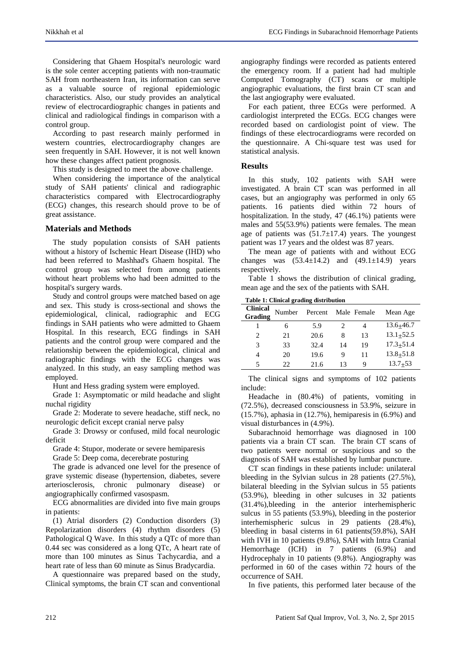Considering that Ghaem Hospital's neurologic ward is the sole center accepting patients with non-traumatic SAH from northeastern Iran, its information can serve as a valuable source of regional epidemiologic characteristics. Also, our study provides an analytical review of electrocardiographic changes in patients and clinical and radiological findings in comparison with a control group.

According to past research mainly performed in western countries, electrocardiography changes are seen frequently in SAH. However, it is not well known how these changes affect patient prognosis.

This study is designed to meet the above challenge.

When considering the importance of the analytical study of SAH patients' clinical and radiographic characteristics compared with Electrocardiography (ECG) changes, this research should prove to be of great assistance.

# **Materials and Methods**

The study population consists of SAH patients without a history of Ischemic Heart Disease (IHD) who had been referred to Mashhad's Ghaem hospital. The control group was selected from among patients without heart problems who had been admitted to the hospital's surgery wards.

Study and control groups were matched based on age and sex. This study is cross-sectional and shows the epidemiological, clinical, radiographic and ECG findings in SAH patients who were admitted to Ghaem Hospital. In this research, ECG findings in SAH patients and the control group were compared and the relationship between the epidemiological, clinical and radiographic findings with the ECG changes was analyzed. In this study, an easy sampling method was employed.

Hunt and Hess grading system were employed.

Grade 1: Asymptomatic or mild headache and slight nuchal rigidity

Grade 2: Moderate to severe headache, stiff neck, no neurologic deficit except cranial nerve palsy

Grade 3: Drowsy or confused, mild focal neurologic deficit

Grade 4: Stupor, moderate or severe hemiparesis

Grade 5: Deep coma, decerebrate posturing

The grade is advanced one level for the presence of grave systemic disease (hypertension, diabetes, severe arteriosclerosis, chronic pulmonary disease) or angiographically confirmed vasospasm.

ECG abnormalities are divided into five main groups in patients:

(1) Atrial disorders (2) Conduction disorders (3) Repolarization disorders (4) rhythm disorders (5) Pathological Q Wave. In this study a QTc of more than 0.44 sec was considered as a long QTc, A heart rate of more than 100 minutes as Sinus Tachycardia, and a heart rate of less than 60 minute as Sinus Bradycardia.

A questionnaire was prepared based on the study, Clinical symptoms, the brain CT scan and conventional angiography findings were recorded as patients entered the emergency room. If a patient had had multiple Computed Tomography (CT) scans or multiple angiographic evaluations, the first brain CT scan and the last angiography were evaluated.

For each patient, three ECGs were performed. A cardiologist interpreted the ECGs. ECG changes were recorded based on cardiologist point of view. The findings of these electrocardiograms were recorded on the questionnaire. A Chi-square test was used for statistical analysis.

# **Results**

In this study, 102 patients with SAH were investigated. A brain CT scan was performed in all cases, but an angiography was performed in only 65 patients. 16 patients died within 72 hours of hospitalization. In the study, 47 (46.1%) patients were males and 55(53.9%) patients were females. The mean age of patients was  $(51.7 \pm 17.4)$  years. The youngest patient was 17 years and the oldest was 87 years.

The mean age of patients with and without ECG changes was  $(53.4 \pm 14.2)$  and  $(49.1 \pm 14.9)$  years respectively.

Table 1 shows the distribution of clinical grading, mean age and the sex of the patients with SAH.

**Table 1: Clinical grading distribution**

| <b>Clinical</b><br>Grading | Number | Percent |    | Male Female | Mean Age      |
|----------------------------|--------|---------|----|-------------|---------------|
|                            | 6      | 5.9     |    | 4           | $13.6 + 46.7$ |
| 2                          | 21     | 20.6    | 8  | 13          | $13.1 + 52.5$ |
| 3                          | 33     | 32.4    | 14 | 19          | $17.3 + 51.4$ |
| 4                          | 20     | 19.6    | 9  | 11          | $13.8 + 51.8$ |
| 5                          | 22     | 21.6    | 13 | Q           | $13.7 + 53$   |

The clinical signs and symptoms of 102 patients include:

Headache in (80.4%) of patients, vomiting in (72.5%), decreased consciousness in 53.9%, seizure in (15.7%), aphasia in (12.7%), hemiparesis in (6.9%) and visual disturbances in (4.9%).

Subarachnoid hemorrhage was diagnosed in 100 patients via a brain CT scan. The brain CT scans of two patients were normal or suspicious and so the diagnosis of SAH was established by lumbar puncture.

CT scan findings in these patients include: unilateral bleeding in the Sylvian sulcus in 28 patients (27.5%), bilateral bleeding in the Sylvian sulcus in 55 patients (53.9%), bleeding in other sulcuses in 32 patients (31.4%),bleeding in the anterior interhemispheric sulcus in 55 patients (53.9%), bleeding in the posterior interhemispheric sulcus in 29 patients (28.4%), bleeding in basal cisterns in 61 patients(59.8%), SAH with IVH in 10 patients (9.8%), SAH with Intra Cranial Hemorrhage (ICH) in 7 patients (6.9%) and Hydrocephaly in 10 patients (9.8%). Angiography was performed in 60 of the cases within 72 hours of the occurrence of SAH.

In five patients, this performed later because of the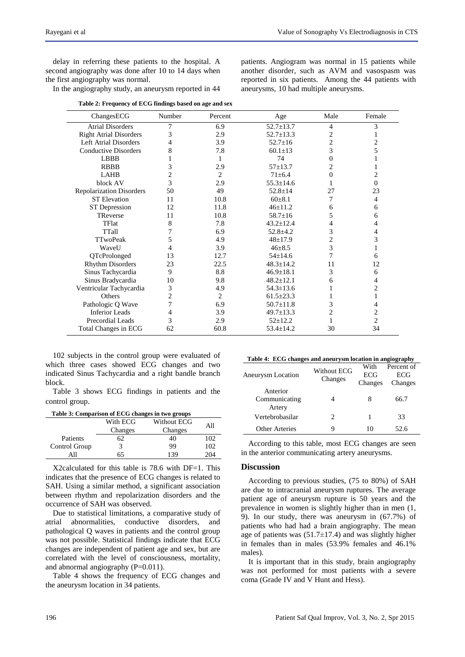patients. Angiogram was normal in 15 patients while another disorder, such as AVM and vasospasm was reported in six patients. Among the 44 patients with

aneurysms, 10 had multiple aneurysms.

delay in referring these patients to the hospital. A second angiography was done after 10 to 14 days when the first angiography was normal.

In the angiography study, an aneurysm reported in 44

ChangesECG Number Percent Age Male Female Atrial Disorders 7 6.9 52.7±13.7 4 3 Right Atrial Disorders 3 2.9 52.7±13.3 2 1 Left Atrial Disorders  $4$   $3.9$   $52.7+16$   $2$   $2$ Conductive Disorders 8 7.8 60.1 $\pm$ 13 3 5<br>
LBBB 1 1 74 0 1 LBBB 1 1 1 74 0 1 RBBB 3 2.9 57 $\pm$ 13.7 2 1 LAHB 2 2 71±6.4 0 2 block AV 3 2.9 55.3±14.6 1 0 Repolarization Disorders 50 49 52.8±14 27 23 ST Elevation 11 10.8 60 $\pm$ 8.1 7 4 ST Depression 12 11.8 46±11.2 6 6 TReverse 11  $10.8$  58.7 $\pm 16$  5 6 TFlat 8 7.8  $43.2 \pm 12.4$  4 4 TTall  $7$  6.9 52.8±4.2 3 4  $TTwoPeak$  5 4.9  $48±17.9$  2 3 WaveU 4 3.9 46±8.5 3 1 QTcProlonged 13 12.7 54±14.6 7 6 Rhythm Disorders 23 22.5 48.3±14.2 11 12 Sinus Tachycardia  $\begin{array}{cccc} 9 & 8.8 & 46.9 \pm 18.1 & 3 & 6 \\ 5 \text{inus} \text{ Bradvcardia} & 10 & 9.8 & 48.2 \pm 12.1 & 6 \end{array}$ Sinus Bradycardia 10 9.8 48.2±12.1 6 4 Ventricular Tachycardia  $\frac{3}{4.9}$   $\frac{4.9}{54.3}$   $\frac{54.3}$   $\frac{13.6}{2}$   $\frac{1}{2}$   $\frac{2}{54.3}$ Others 2 2 61.5 $\pm$ 23.3 1 1 Pathologic Q Wave 7 6.9 50.7±11.8 3 4<br>Inferior Leads 4 3.9 49.7+13.3 2 2 1 Inferior Leads 4 3.9 49.7±13.3 2 2<br>Precordial Leads 3 2.9 52+12.2 1 2 Precordial Leads  $\begin{array}{ccc} 3 & 2.9 & 52 \pm 12.2 & 1 \end{array}$ Total Changes in ECG 62 60.8 53.4±14.2 30 34

102 subjects in the control group were evaluated of which three cases showed ECG changes and two indicated Sinus Tachycardia and a right bandle branch block.

Table 3 shows ECG findings in patients and the control group.

| Table 3: Comparison of ECG changes in two groups |          |             |     |  |  |  |
|--------------------------------------------------|----------|-------------|-----|--|--|--|
|                                                  | With ECG | Without ECG | All |  |  |  |
|                                                  | Changes  | Changes     |     |  |  |  |
| Patients                                         | 62       | 40          | 102 |  |  |  |
| Control Group                                    |          | 99          | 102 |  |  |  |
|                                                  | 65       | 139         | 204 |  |  |  |

X2calculated for this table is 78.6 with DF=1. This indicates that the presence of ECG changes is related to SAH. Using a similar method, a significant association between rhythm and repolarization disorders and the occurrence of SAH was observed.

Due to statistical limitations, a comparative study of atrial abnormalities, conductive disorders, and pathological Q waves in patients and the control group was not possible. Statistical findings indicate that ECG changes are independent of patient age and sex, but are correlated with the level of consciousness, mortality, and abnormal angiography  $(P=0.011)$ .

Table 4 shows the frequency of ECG changes and the aneurysm location in 34 patients.

| Table 4: ECG changes and aneurysm location in angiography |             |         |            |  |  |  |
|-----------------------------------------------------------|-------------|---------|------------|--|--|--|
|                                                           | Without ECG | With    | Percent of |  |  |  |
| Aneurysm Location                                         | Changes     | ECG     | ECG        |  |  |  |
|                                                           |             | Changes | Changes    |  |  |  |
| Anterior                                                  |             |         |            |  |  |  |
| Communicating                                             |             |         | 66.7       |  |  |  |
| Artery                                                    |             |         |            |  |  |  |
| Vertebrobasilar                                           | 2           |         | 33         |  |  |  |
| Other Arteries                                            | Q           | 10      | 52.6       |  |  |  |

According to this table, most ECG changes are seen in the anterior communicating artery aneurysms.

#### **Discussion**

According to previous studies, (75 to 80%) of SAH are due to intracranial aneurysm ruptures. The average patient age of aneurysm rupture is 50 years and the prevalence in women is slightly higher than in men (1, 9). In our study, there was aneurysm in (67.7%) of patients who had had a brain angiography. The mean age of patients was  $(51.7\pm 17.4)$  and was slightly higher in females than in males (53.9% females and 46.1% males).

It is important that in this study, brain angiography was not performed for most patients with a severe coma (Grade IV and V Hunt and Hess).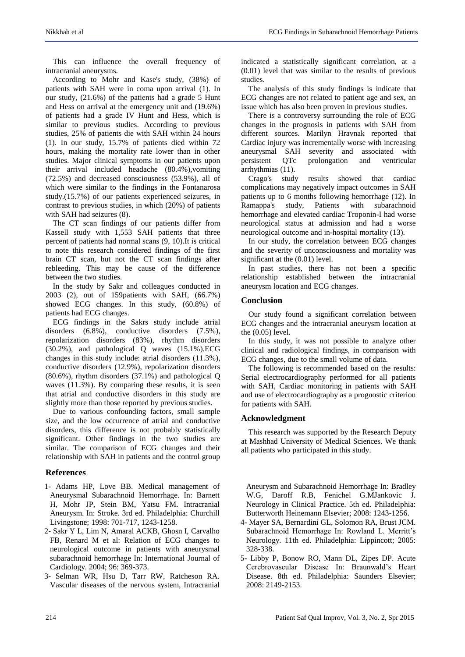This can influence the overall frequency of intracranial aneurysms.

According to Mohr and Kase's study, (38%) of patients with SAH were in coma upon arrival (1). In our study, (21.6%) of the patients had a grade 5 Hunt and Hess on arrival at the emergency unit and (19.6%) of patients had a grade IV Hunt and Hess, which is similar to previous studies. According to previous studies, 25% of patients die with SAH within 24 hours (1). In our study, 15.7% of patients died within 72 hours, making the mortality rate lower than in other studies. Major clinical symptoms in our patients upon their arrival included headache (80.4%),vomiting (72.5%) and decreased consciousness (53.9%), all of which were similar to the findings in the Fontanarosa study.(15.7%) of our patients experienced seizures, in contrast to previous studies, in which (20%) of patients with SAH had seizures (8).

The CT scan findings of our patients differ from Kassell study with 1,553 SAH patients that three percent of patients had normal scans (9, 10).It is critical to note this research considered findings of the first brain CT scan, but not the CT scan findings after rebleeding. This may be cause of the difference between the two studies.

In the study by Sakr and colleagues conducted in 2003 (2), out of 159patients with SAH, (66.7%) showed ECG changes. In this study, (60.8%) of patients had ECG changes.

ECG findings in the Sakrs study include atrial disorders (6.8%), conductive disorders (7.5%), repolarization disorders (83%), rhythm disorders (30.2%), and pathological Q waves (15.1%).ECG changes in this study include: atrial disorders (11.3%), conductive disorders (12.9%), repolarization disorders (80.6%), rhythm disorders (37.1%) and pathological Q waves (11.3%). By comparing these results, it is seen that atrial and conductive disorders in this study are slightly more than those reported by previous studies.

Due to various confounding factors, small sample size, and the low occurrence of atrial and conductive disorders, this difference is not probably statistically significant. Other findings in the two studies are similar. The comparison of ECG changes and their relationship with SAH in patients and the control group

# **References**

- 1- Adams HP, Love BB. Medical management of Aneurysmal Subarachnoid Hemorrhage. In: Barnett H, Mohr JP, Stein BM, Yatsu FM. Intracranial Aneurysm. In: Stroke. 3rd ed. Philadelphia: Churchill Livingstone; 1998: 701-717, 1243-1258.
- 2- Sakr Y L, Lim N, Amaral ACKB, Ghosn I, Carvalho FB, Renard M et al: Relation of ECG changes to neurological outcome in patients with aneurysmal subarachnoid hemorrhage In: International Journal of Cardiology. 2004; 96: 369-373.
- 3- Selman WR, Hsu D, Tarr RW, Ratcheson RA. Vascular diseases of the nervous system, Intracranial

indicated a statistically significant correlation, at a (0.01) level that was similar to the results of previous studies.

The analysis of this study findings is indicate that ECG changes are not related to patient age and sex, an issue which has also been proven in previous studies.

There is a controversy surrounding the role of ECG changes in the prognosis in patients with SAH from different sources. Marilyn Hravnak reported that Cardiac injury was incrementally worse with increasing aneurysmal SAH severity and associated with<br>persistent OTc prolongation and ventricular QTc prolongation and ventricular arrhythmias (11).

Crago's study results showed that cardiac complications may negatively impact outcomes in SAH patients up to 6 months following hemorrhage (12). In Ramappa's study, Patients with subarachnoid hemorrhage and elevated cardiac Troponin-I had worse neurological status at admission and had a worse neurological outcome and in-hospital mortality (13).

In our study, the correlation between ECG changes and the severity of unconsciousness and mortality was significant at the (0.01) level.

In past studies, there has not been a specific relationship established between the intracranial aneurysm location and ECG changes.

## **Conclusion**

Our study found a significant correlation between ECG changes and the intracranial aneurysm location at the (0.05) level.

In this study, it was not possible to analyze other clinical and radiological findings, in comparison with ECG changes, due to the small volume of data.

The following is recommended based on the results: Serial electrocardiography performed for all patients with SAH, Cardiac monitoring in patients with SAH and use of electrocardiography as a prognostic criterion for patients with SAH.

#### **Acknowledgment**

This research was supported by the Research Deputy at Mashhad University of Medical Sciences. We thank all patients who participated in this study.

Aneurysm and Subarachnoid Hemorrhage In: Bradley W.G, Daroff R.B, Fenichel G.MJankovic J. Neurology in Clinical Practice. 5th ed. Philadelphia: Butterworth Heinemann Elsevier; 2008: 1243-1256.

- 4- Mayer SA, Bernardini GL, Solomon RA, Brust JCM. Subarachnoid Hemorrhage In: Rowland L. Merritt's Neurology. 11th ed. Philadelphia: Lippincott; 2005: 328-338.
- 5- Libby P, Bonow RO, Mann DL, Zipes DP. Acute Cerebrovascular Disease In: Braunwald's Heart Disease. 8th ed. Philadelphia: Saunders Elsevier; 2008: 2149-2153.